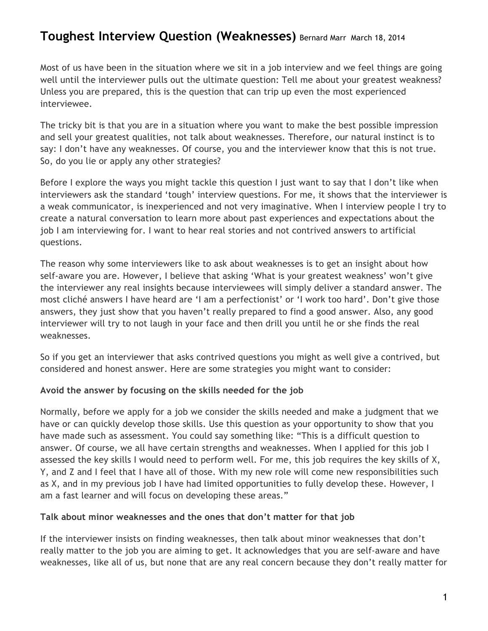# **Toughest Interview Question (Weaknesses)** Bernard Marr March 18, 2014

Most of us have been in the situation where we sit in a job interview and we feel things are going well until the interviewer pulls out the ultimate question: Tell me about your greatest weakness? Unless you are prepared, this is the question that can trip up even the most experienced interviewee.

The tricky bit is that you are in a situation where you want to make the best possible impression and sell your greatest qualities, not talk about weaknesses. Therefore, our natural instinct is to say: I don't have any weaknesses. Of course, you and the interviewer know that this is not true. So, do you lie or apply any other strategies?

Before I explore the ways you might tackle this question I just want to say that I don't like when interviewers ask the standard 'tough' interview questions. For me, it shows that the interviewer is a weak communicator, is inexperienced and not very imaginative. When I interview people I try to create a natural conversation to learn more about past experiences and expectations about the job I am interviewing for. I want to hear real stories and not contrived answers to artificial questions.

The reason why some interviewers like to ask about weaknesses is to get an insight about how self-aware you are. However, I believe that asking 'What is your greatest weakness' won't give the interviewer any real insights because interviewees will simply deliver a standard answer. The most cliché answers I have heard are 'I am a perfectionist' or 'I work too hard'. Don't give those answers, they just show that you haven't really prepared to find a good answer. Also, any good interviewer will try to not laugh in your face and then drill you until he or she finds the real weaknesses.

So if you get an interviewer that asks contrived questions you might as well give a contrived, but considered and honest answer. Here are some strategies you might want to consider:

#### **Avoid the answer by focusing on the skills needed for the job**

Normally, before we apply for a job we consider the skills needed and make a judgment that we have or can quickly develop those skills. Use this question as your opportunity to show that you have made such as assessment. You could say something like: "This is a difficult question to answer. Of course, we all have certain strengths and weaknesses. When I applied for this job I assessed the key skills I would need to perform well. For me, this job requires the key skills of X, Y, and Z and I feel that I have all of those. With my new role will come new responsibilities such as X, and in my previous job I have had limited opportunities to fully develop these. However, I am a fast learner and will focus on developing these areas."

#### **Talk about minor weaknesses and the ones that don't matter for that job**

If the interviewer insists on finding weaknesses, then talk about minor weaknesses that don't really matter to the job you are aiming to get. It acknowledges that you are self-aware and have weaknesses, like all of us, but none that are any real concern because they don't really matter for